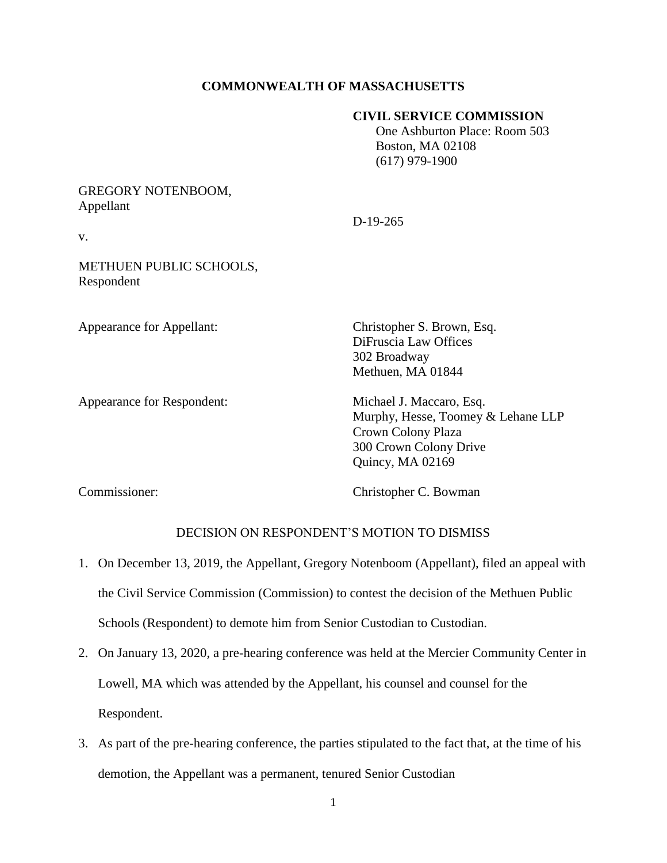# **COMMONWEALTH OF MASSACHUSETTS**

D-19-265

### **CIVIL SERVICE COMMISSION**

 One Ashburton Place: Room 503 Boston, MA 02108 (617) 979-1900

# GREGORY NOTENBOOM, Appellant

v.

# METHUEN PUBLIC SCHOOLS, Respondent

Appearance for Respondent: Michael J. Maccaro, Esq.

Appearance for Appellant: Christopher S. Brown, Esq. DiFruscia Law Offices 302 Broadway Methuen, MA 01844

> Murphy, Hesse, Toomey & Lehane LLP Crown Colony Plaza 300 Crown Colony Drive Quincy, MA 02169

Commissioner: Christopher C. Bowman

## DECISION ON RESPONDENT'S MOTION TO DISMISS

- 1. On December 13, 2019, the Appellant, Gregory Notenboom (Appellant), filed an appeal with the Civil Service Commission (Commission) to contest the decision of the Methuen Public Schools (Respondent) to demote him from Senior Custodian to Custodian.
- 2. On January 13, 2020, a pre-hearing conference was held at the Mercier Community Center in Lowell, MA which was attended by the Appellant, his counsel and counsel for the Respondent.
- 3. As part of the pre-hearing conference, the parties stipulated to the fact that, at the time of his demotion, the Appellant was a permanent, tenured Senior Custodian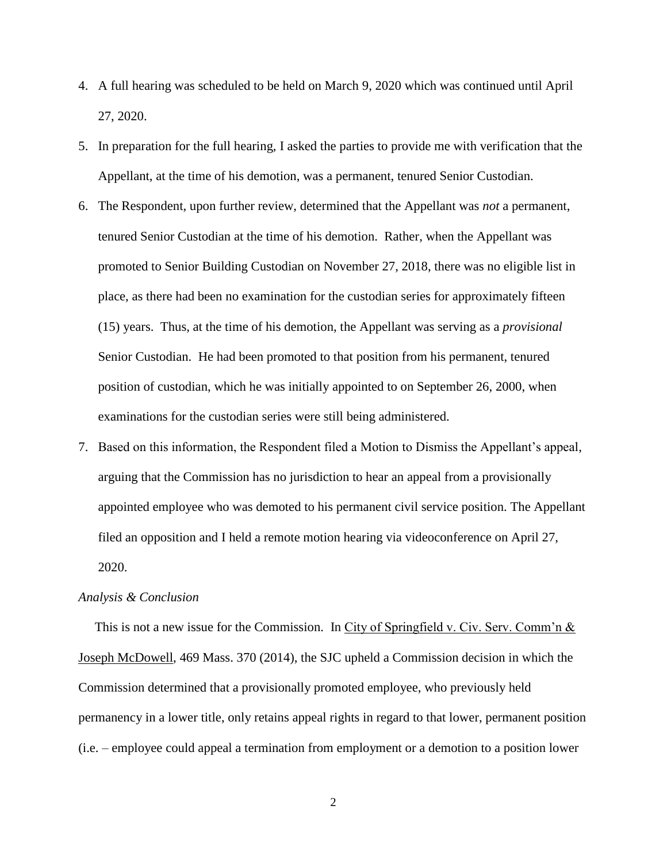- 4. A full hearing was scheduled to be held on March 9, 2020 which was continued until April 27, 2020.
- 5. In preparation for the full hearing, I asked the parties to provide me with verification that the Appellant, at the time of his demotion, was a permanent, tenured Senior Custodian.
- 6. The Respondent, upon further review, determined that the Appellant was *not* a permanent, tenured Senior Custodian at the time of his demotion. Rather, when the Appellant was promoted to Senior Building Custodian on November 27, 2018, there was no eligible list in place, as there had been no examination for the custodian series for approximately fifteen (15) years. Thus, at the time of his demotion, the Appellant was serving as a *provisional*  Senior Custodian. He had been promoted to that position from his permanent, tenured position of custodian, which he was initially appointed to on September 26, 2000, when examinations for the custodian series were still being administered.
- 7. Based on this information, the Respondent filed a Motion to Dismiss the Appellant's appeal, arguing that the Commission has no jurisdiction to hear an appeal from a provisionally appointed employee who was demoted to his permanent civil service position. The Appellant filed an opposition and I held a remote motion hearing via videoconference on April 27, 2020.

#### *Analysis & Conclusion*

This is not a new issue for the Commission. In City of Springfield v. Civ. Serv. Comm'n  $\&$ Joseph McDowell, 469 Mass. 370 (2014), the SJC upheld a Commission decision in which the Commission determined that a provisionally promoted employee, who previously held permanency in a lower title, only retains appeal rights in regard to that lower, permanent position (i.e. – employee could appeal a termination from employment or a demotion to a position lower

2